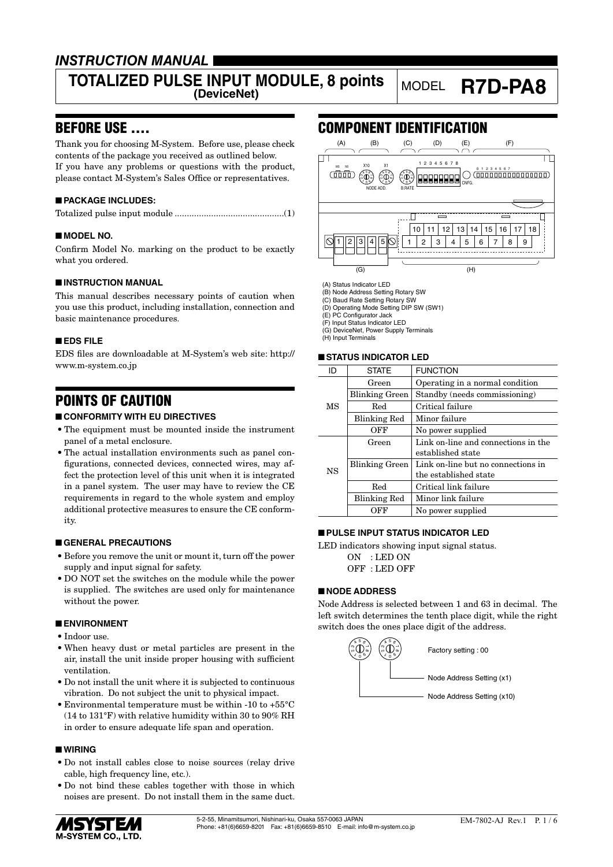## *INSTRUCTION MANUAL*

# **TOTALIZED PULSE INPUT MODULE, 8 points** MODEL **R7D-PA8**

### BEFORE USE ....

Thank you for choosing M-System. Before use, please check contents of the package you received as outlined below. If you have any problems or questions with the product, please contact M-System's Sales Office or representatives.

### ■ **PACKAGE INCLUDES:**

### ■ **MODEL NO.**

Confirm Model No. marking on the product to be exactly what you ordered.

### ■ **INSTRUCTION MANUAL**

This manual describes necessary points of caution when you use this product, including installation, connection and basic maintenance procedures.

#### ■ **EDS FILE**

EDS files are downloadable at M-System's web site: http:// www.m-system.co.jp

### POINTS OF CAUTION

### ■ **CONFORMITY WITH EU DIRECTIVES**

- The equipment must be mounted inside the instrument panel of a metal enclosure.
- The actual installation environments such as panel configurations, connected devices, connected wires, may affect the protection level of this unit when it is integrated in a panel system. The user may have to review the CE requirements in regard to the whole system and employ additional protective measures to ensure the CE conformity.

#### ■ **GENERAL PRECAUTIONS**

- Before you remove the unit or mount it, turn off the power supply and input signal for safety.
- DO NOT set the switches on the module while the power is supplied. The switches are used only for maintenance without the power.

#### ■ **ENVIRONMENT**

- Indoor use.
- When heavy dust or metal particles are present in the air, install the unit inside proper housing with sufficient ventilation.
- Do not install the unit where it is subjected to continuous vibration. Do not subject the unit to physical impact.
- Environmental temperature must be within -10 to +55°C (14 to 131°F) with relative humidity within 30 to 90% RH in order to ensure adequate life span and operation.

### ■ **WIRING**

- Do not install cables close to noise sources (relay drive cable, high frequency line, etc.).
- Do not bind these cables together with those in which noises are present. Do not install them in the same duct.



### COMPONENT IDENTIFICATION



(A) Status Indicator LED (B) Node Address Setting Rotary SW

(C) Baud Rate Setting Rotary SW (D) Operating Mode Setting DIP SW (SW1)

(E) PC Configurator Jack

(F) Input Status Indicator LED

(G) DeviceNet, Power Supply Terminals (H) Input Terminals

#### ■ **STATUS INDICATOR LED**

| <b>STATE</b>          | <b>FUNCTION</b>                     |
|-----------------------|-------------------------------------|
| Green                 | Operating in a normal condition     |
| Blinking Green        | Standby (needs commissioning)       |
| Red                   | Critical failure                    |
| <b>Blinking Red</b>   | Minor failure                       |
| OFF                   | No power supplied                   |
| Green                 | Link on-line and connections in the |
|                       | established state                   |
| <b>Blinking Green</b> | Link on-line but no connections in  |
|                       | the established state               |
| Red                   | Critical link failure               |
| <b>Blinking Red</b>   | Minor link failure                  |
| OFF                   | No power supplied                   |
|                       |                                     |

### ■ **PULSE INPUT STATUS INDICATOR LED**

LED indicators showing input signal status.

ON : LED ON OFF : LED OFF

### ■ **NODE ADDRESS**

Node Address is selected between 1 and 63 in decimal. The left switch determines the tenth place digit, while the right switch does the ones place digit of the address.

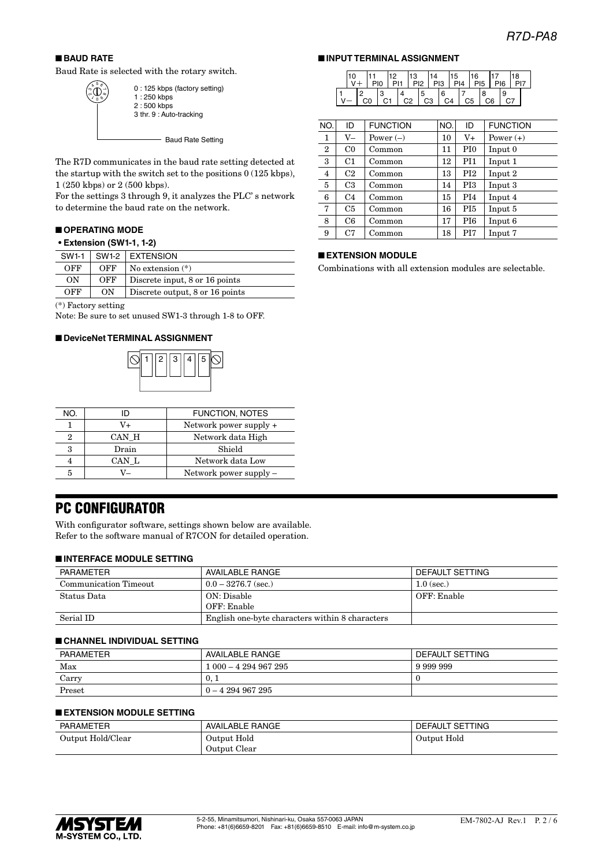16 17 18 PI5 PI6 PI7

 $\begin{array}{c|c} 7 & 8 & 9 \\ \hline C5 & C6 & \end{array}$ 

■ **INPUT TERMINAL ASSIGNMENT**

 $\begin{array}{|c|c|c|}\n\hline\n12 & 13 \\
\hline\n\blacksquare & \blacksquare & \blacksquare\n\end{array}$  $\frac{3}{1}$   $\frac{4}{1}$   $\frac{4}{1}$   $\frac{2}{2}$ 

11 PI0

■ **EXTENSION MODULE**

10 <sup>2</sup>  $V +$  $V \mid$  C0 14

 $P12$ 

 $N$ O. ID FUNCTION  $N$ O. ID FUNCTION 1 | V– | Power (–)  $|10|$  V+ | Power (+)  $2 | CO | Common | 11 | PIO | Input 0$  $3 \mid$  C1 | Common | 12 | PI1 | Input 1  $4 \mid C2 \mid$  Common  $13 \mid P12 \mid$  Input 2 5 C3 Common 14 PI3 Input 3 6 C4 Common 15 PI4 Input 4 7 C5 Common 16 PI5 Input 5 8 C6 Common 17 PI6 Input 6 9 | C7 | Common | 18 | PI7 | Input 7

Combinations with all extension modules are selectable.

3 |4 |5 |6 |7 |8 |9<br>C1 | C2 | C3 | C4 | C5 | C6 | C7 . .<br>PI3 15 PI4

### ■ **BAUD RATE**

1<sub>0</sub> 5  $\bigoplus_{\alpha=0}^{\infty}$ ო  $\sigma$ 

Baud Rate is selected with the rotary switch.

- Baud Rate Setting 0 : 125 kbps (factory setting) 1 : 250 kbps 2 : 500 kbps 3 thr. 9 : Auto-tracking

The R7D communicates in the baud rate setting detected at the startup with the switch set to the positions 0 (125 kbps), 1 (250 kbps) or 2 (500 kbps).

For the settings 3 through 9, it analyzes the PLC' s network to determine the baud rate on the network.

### ■ **OPERATING MODE**

### **• Extension (SW1-1, 1-2)**

| SW1-1 | SW1-2 | <b>EXTENSION</b>                |
|-------|-------|---------------------------------|
| OFF   | OFF   | No extension $(*)$              |
| ON    | OFF   | Discrete input, 8 or 16 points  |
| OFF   | ON    | Discrete output, 8 or 16 points |

(\*) Factory setting

Note: Be sure to set unused SW1-3 through 1-8 to OFF.

#### ■ **DeviceNet TERMINAL ASSIGNMENT**



| NO. |       | <b>FUNCTION, NOTES</b>   |
|-----|-------|--------------------------|
|     | V+    | Network power supply +   |
| 9   | CAN H | Network data High        |
| 3   | Drain | Shield                   |
|     | CAN L | Network data Low         |
| 5   |       | Network power supply $-$ |
|     |       |                          |

### PC CONFIGURATOR

With configurator software, settings shown below are available. Refer to the software manual of R7CON for detailed operation.

#### ■ **INTERFACE MODULE SETTING**

| PARAMETER             | AVAILABLE RANGE                                 | DEFAULT SETTING |
|-----------------------|-------------------------------------------------|-----------------|
| Communication Timeout | $0.0 - 3276.7$ (sec.)                           | $1.0$ (sec.)    |
| Status Data           | ON: Disable                                     | OFF: Enable     |
|                       | OFF: Enable                                     |                 |
| Serial ID             | English one-byte characters within 8 characters |                 |

#### ■ **CHANNEL INDIVIDUAL SETTING**

| <b>PARAMETER</b> | AVAILABLE RANGE    | DEFAULT SETTING |
|------------------|--------------------|-----------------|
| Max              | $000 - 4294967295$ | 9 999 999       |
| Carry            | 0.1                |                 |
| Preset           | $0 - 4294967295$   |                 |

### ■ **EXTENSION MODULE SETTING**

| <b>PARAMETER</b>  | <b>AVAILABLE RANGE</b> | DEFAULT SETTING |
|-------------------|------------------------|-----------------|
| Output Hold/Clear | Output Hold            | Output Hold     |
|                   | Output Clear           |                 |

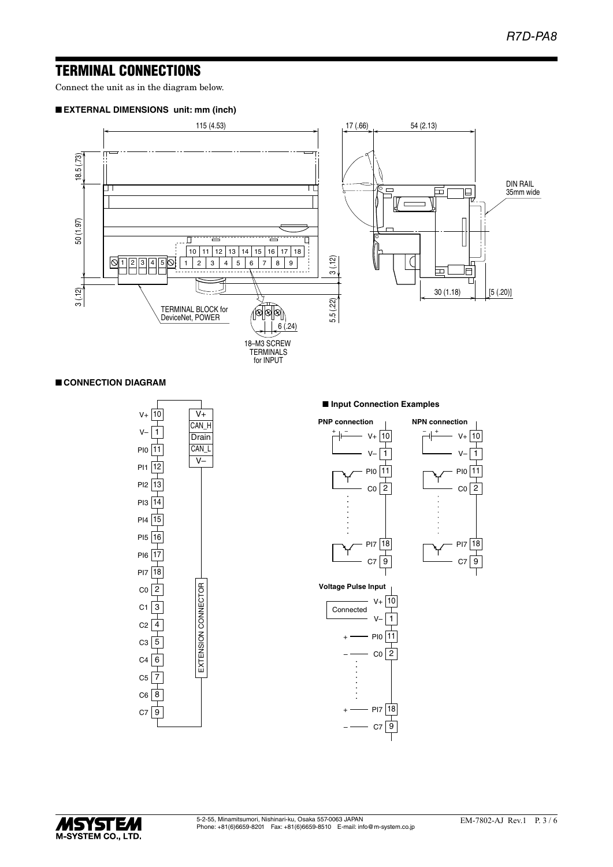### TERMINAL CONNECTIONS

Connect the unit as in the diagram below.

### ■ **EXTERNAL DIMENSIONS unit: mm (inch)**



### ■ **CONNECTION DIAGRAM**



#### ■ **Input Connection Examples**



**Voltage Pulse Input**



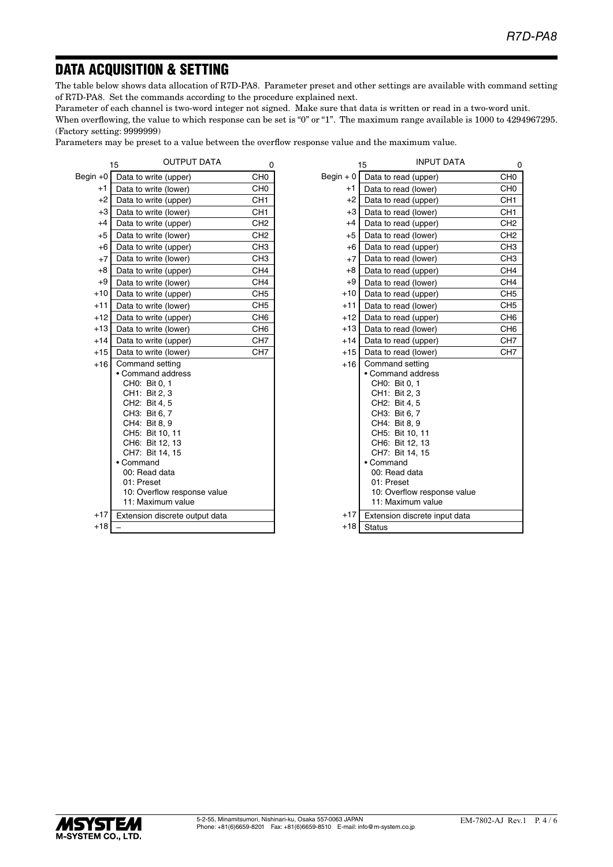## DATA ACQUISITION & SETTING

The table below shows data allocation of R7D-PA8. Parameter preset and other settings are available with command setting of R7D-PA8. Set the commands according to the procedure explained next.

Parameter of each channel is two-word integer not signed. Make sure that data is written or read in a two-word unit.

When overflowing, the value to which response can be set is "0" or "1". The maximum range available is 1000 to 4294967295. (Factory setting: 9999999)

Parameters may be preset to a value between the overflow response value and the maximum value.

|            | <b>OUTPUT DATA</b><br>15                                                                                                                                                                                                                                                       | 0               |
|------------|--------------------------------------------------------------------------------------------------------------------------------------------------------------------------------------------------------------------------------------------------------------------------------|-----------------|
| Begin $+0$ | Data to write (upper)                                                                                                                                                                                                                                                          | CH <sub>0</sub> |
| $+1$       | Data to write (lower)                                                                                                                                                                                                                                                          | CH <sub>0</sub> |
| $+2$       | Data to write (upper)                                                                                                                                                                                                                                                          | CH <sub>1</sub> |
| $+3$       | Data to write (lower)                                                                                                                                                                                                                                                          | CH <sub>1</sub> |
| $+4$       | Data to write (upper)                                                                                                                                                                                                                                                          | CH <sub>2</sub> |
| $+5$       | Data to write (lower)                                                                                                                                                                                                                                                          | CH <sub>2</sub> |
| $+6$       | Data to write (upper)                                                                                                                                                                                                                                                          | CH <sub>3</sub> |
| $+7$       | Data to write (lower)                                                                                                                                                                                                                                                          | CH <sub>3</sub> |
| $+8$       | Data to write (upper)                                                                                                                                                                                                                                                          | CH <sub>4</sub> |
| $+9$       | Data to write (lower)                                                                                                                                                                                                                                                          | CH <sub>4</sub> |
| $+10$      | Data to write (upper)                                                                                                                                                                                                                                                          | CH <sub>5</sub> |
| $+11$      | Data to write (lower)                                                                                                                                                                                                                                                          | CH <sub>5</sub> |
| $+12$      | Data to write (upper)                                                                                                                                                                                                                                                          | CH <sub>6</sub> |
| $+13$      | Data to write (lower)                                                                                                                                                                                                                                                          | CH <sub>6</sub> |
| $+14$      | Data to write (upper)                                                                                                                                                                                                                                                          | CH <sub>7</sub> |
| $+15$      | Data to write (lower)                                                                                                                                                                                                                                                          | CH <sub>7</sub> |
| $+16$      | Command setting<br>Command address<br>CH0: Bit 0, 1<br>CH1: Bit 2, 3<br>CH2: Bit 4, 5<br>CH3: Bit 6, 7<br>CH4: Bit 8, 9<br>CH5: Bit 10, 11<br>CH6: Bit 12, 13<br>CH7: Bit 14, 15<br>Command<br>00: Read data<br>01: Preset<br>10: Overflow response value<br>11: Maximum value |                 |
| $+17$      |                                                                                                                                                                                                                                                                                |                 |
| $+18$      | Extension discrete output data                                                                                                                                                                                                                                                 |                 |
|            |                                                                                                                                                                                                                                                                                |                 |

| <b>OUTPUT DATA</b> | 0               |                             | <b>INPUT DATA</b><br>15       | 0               |
|--------------------|-----------------|-----------------------------|-------------------------------|-----------------|
| (upper)            | CH <sub>0</sub> | Begin $+0$                  | Data to read (upper)          | CH <sub>0</sub> |
| (lower)            | CH <sub>0</sub> | +1                          | Data to read (lower)          | CH <sub>0</sub> |
| (upper)            | CH <sub>1</sub> | $+2$                        | Data to read (upper)          | CH <sub>1</sub> |
| (lower)            | CH <sub>1</sub> | $+3$                        | Data to read (lower)          | CH <sub>1</sub> |
| (upper)            | CH <sub>2</sub> | $+4$                        | Data to read (upper)          | CH <sub>2</sub> |
| (lower)            | CH <sub>2</sub> | $+5$                        | Data to read (lower)          | CH <sub>2</sub> |
| (upper)            | CH <sub>3</sub> | $+6$                        | Data to read (upper)          | CH <sub>3</sub> |
| (lower)            | CH <sub>3</sub> | $+7$                        | Data to read (lower)          | CH <sub>3</sub> |
| (upper)            | CH <sub>4</sub> | $+8$                        | Data to read (upper)          | CH <sub>4</sub> |
| (lower)            | CH <sub>4</sub> | $+9$                        | Data to read (lower)          | CH <sub>4</sub> |
| (upper)            | CH <sub>5</sub> | $+10$                       | Data to read (upper)          | CH <sub>5</sub> |
| (lower)            | CH <sub>5</sub> | $+11$                       | Data to read (lower)          | CH <sub>5</sub> |
| (upper)            | CH <sub>6</sub> | $+12$                       | Data to read (upper)          | CH <sub>6</sub> |
| (lower)            | CH <sub>6</sub> | $+13$                       | Data to read (lower)          | CH <sub>6</sub> |
| (upper)            | CH <sub>7</sub> | $+14$                       | Data to read (upper)          | CH <sub>7</sub> |
| (lower)            | CH <sub>7</sub> | $+15$                       | Data to read (lower)          | CH <sub>7</sub> |
| etting             |                 | $+16$                       | Command setting               |                 |
| address            |                 |                             | • Command address             |                 |
| , 1                |                 |                             | CH0: Bit 0, 1                 |                 |
| , 3                |                 |                             | CH1: Bit 2, 3                 |                 |
| , 5                |                 |                             | CH2: Bit 4, 5                 |                 |
| , 7                |                 |                             | CH3: Bit 6, 7                 |                 |
| , 9                |                 |                             | CH4: Bit 8, 9                 |                 |
| 0, 11              |                 |                             | CH5: Bit 10, 11               |                 |
| 2, 13              |                 |                             | CH6: Bit 12, 13               |                 |
| 4, 15              |                 | CH7: Bit 14, 15             |                               |                 |
|                    |                 |                             | • Command                     |                 |
| ata                |                 |                             | 00: Read data                 |                 |
|                    |                 |                             | 01: Preset                    |                 |
| w response value   |                 | 10: Overflow response value |                               |                 |
| um value           |                 |                             | 11: Maximum value             |                 |
| screte output data |                 | $+17$                       | Extension discrete input data |                 |
|                    |                 | $+18$                       | <b>Status</b>                 |                 |

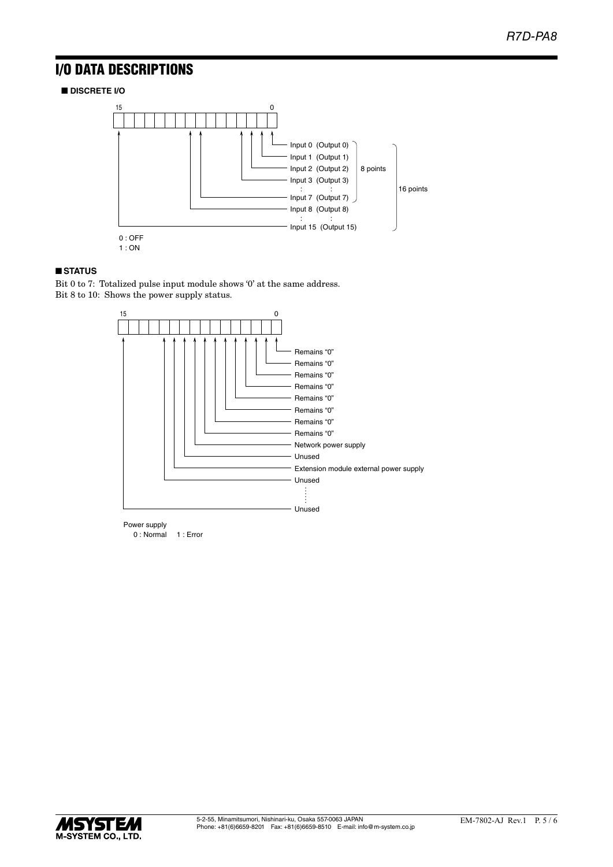## I/O DATA DESCRIPTIONS

■ **DISCRETE I/O**



### ■ **STATUS**

Bit 0 to 7: Totalized pulse input module shows '0' at the same address. Bit 8 to 10: Shows the power supply status.



Power supply 0 : Normal 1 : Error